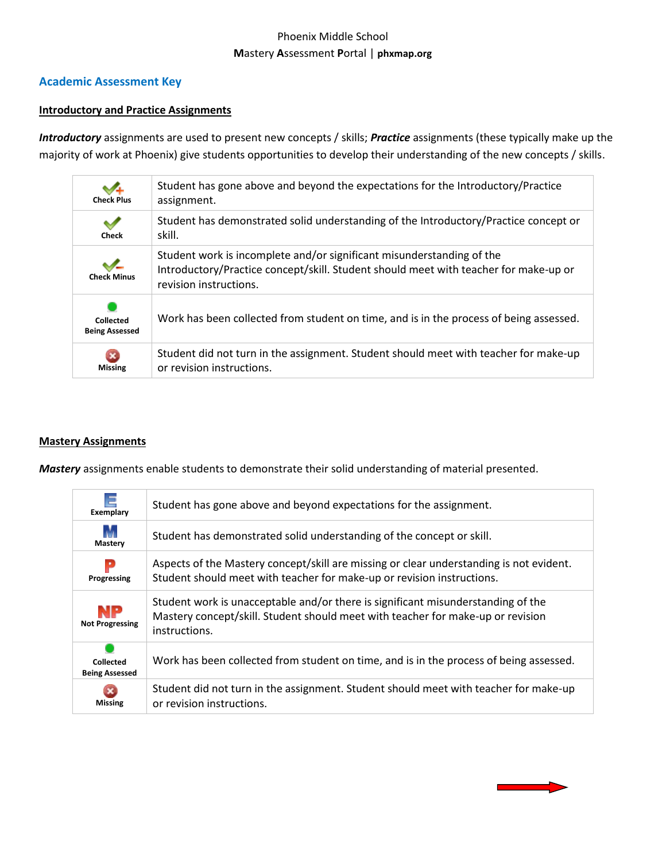# Phoenix Middle School **M**astery **A**ssessment **P**ortal | **phxmap.org**

# **Academic Assessment Key**

#### **Introductory and Practice Assignments**

*Introductory* assignments are used to present new concepts / skills; *Practice* assignments (these typically make up the majority of work at Phoenix) give students opportunities to develop their understanding of the new concepts / skills.

| $\vee$<br><b>Check Plus</b>               | Student has gone above and beyond the expectations for the Introductory/Practice<br>assignment.                                                                                         |
|-------------------------------------------|-----------------------------------------------------------------------------------------------------------------------------------------------------------------------------------------|
| v<br><b>Check</b>                         | Student has demonstrated solid understanding of the Introductory/Practice concept or<br>skill.                                                                                          |
| <b>Check Minus</b>                        | Student work is incomplete and/or significant misunderstanding of the<br>Introductory/Practice concept/skill. Student should meet with teacher for make-up or<br>revision instructions. |
| <b>Collected</b><br><b>Being Assessed</b> | Work has been collected from student on time, and is in the process of being assessed.                                                                                                  |
| <b>Missing</b>                            | Student did not turn in the assignment. Student should meet with teacher for make-up<br>or revision instructions.                                                                       |

#### **Mastery Assignments**

*Mastery* assignments enable students to demonstrate their solid understanding of material presented.

| $\equiv$<br>Exemplary              | Student has gone above and beyond expectations for the assignment.                                                                                                                   |  |  |
|------------------------------------|--------------------------------------------------------------------------------------------------------------------------------------------------------------------------------------|--|--|
| M<br>Mastery                       | Student has demonstrated solid understanding of the concept or skill.                                                                                                                |  |  |
| Р<br>Progressing                   | Aspects of the Mastery concept/skill are missing or clear understanding is not evident.<br>Student should meet with teacher for make-up or revision instructions.                    |  |  |
| NP<br><b>Not Progressing</b>       | Student work is unacceptable and/or there is significant misunderstanding of the<br>Mastery concept/skill. Student should meet with teacher for make-up or revision<br>instructions. |  |  |
| Collected<br><b>Being Assessed</b> | Work has been collected from student on time, and is in the process of being assessed.                                                                                               |  |  |
| Missing                            | Student did not turn in the assignment. Student should meet with teacher for make-up<br>or revision instructions.                                                                    |  |  |